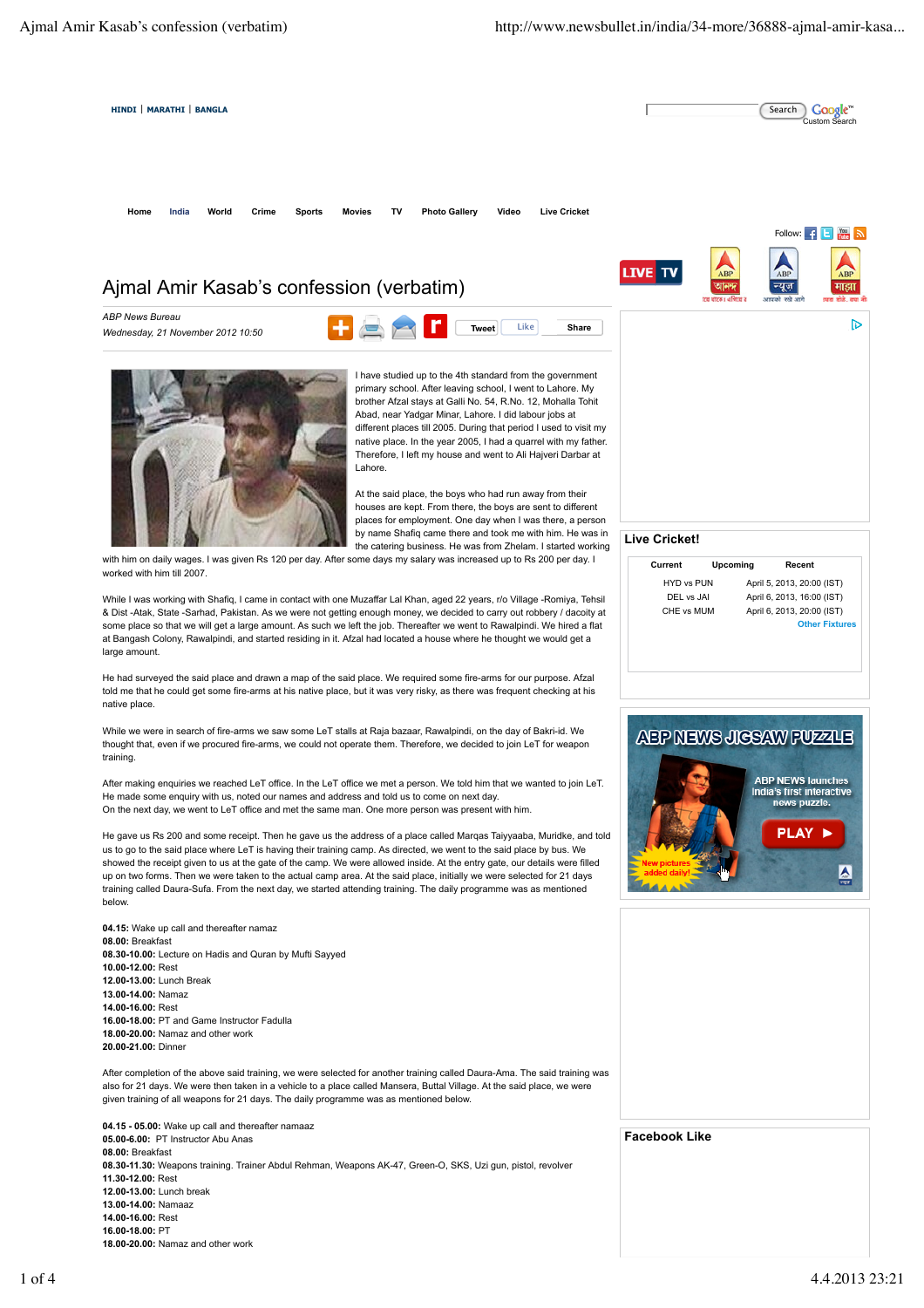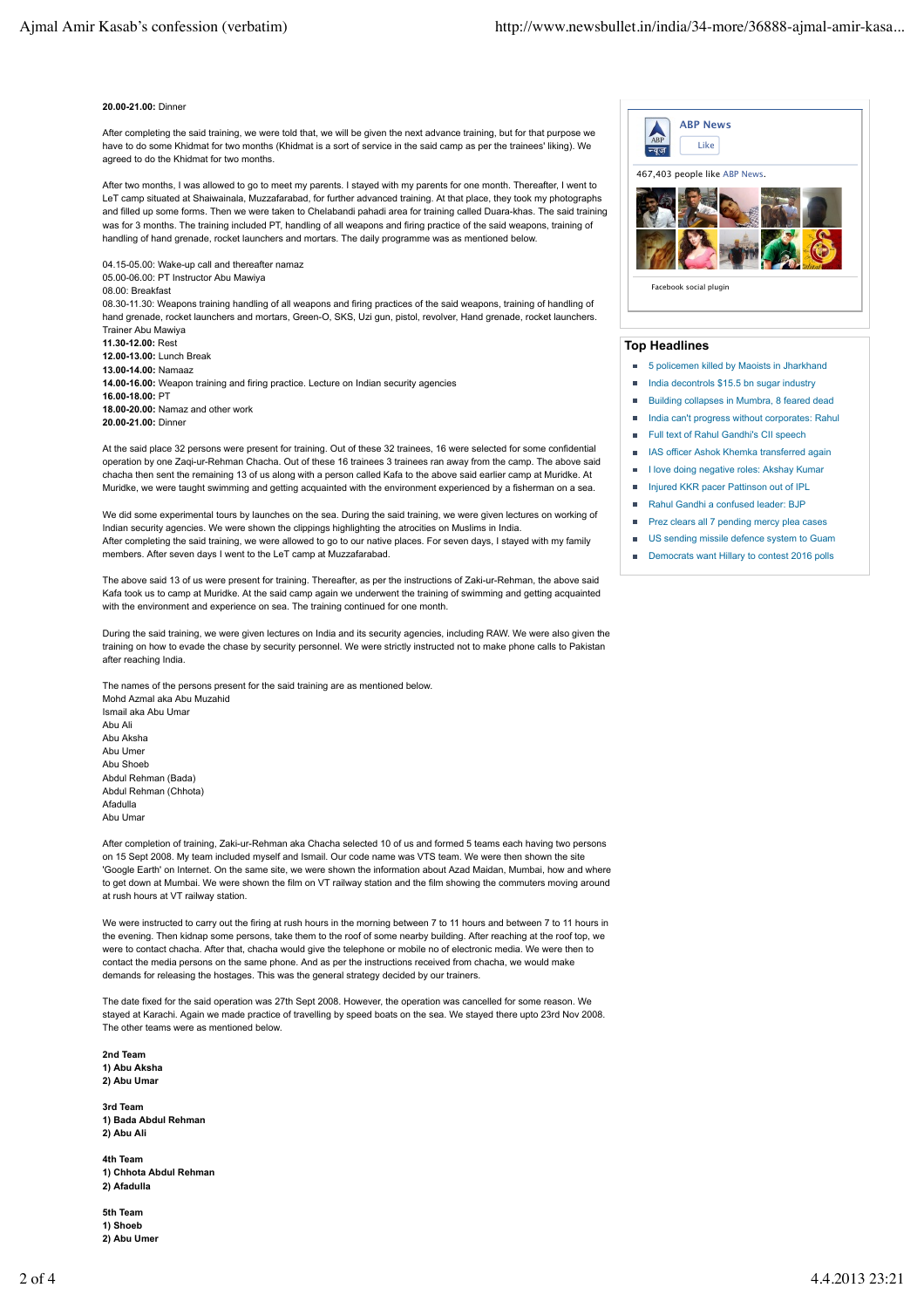## **20.00-21.00:** Dinner

After completing the said training, we were told that, we will be given the next advance training, but for that purpose we have to do some Khidmat for two months (Khidmat is a sort of service in the said camp as per the trainees' liking). We agreed to do the Khidmat for two months.

After two months, I was allowed to go to meet my parents. I stayed with my parents for one month. Thereafter, I went to LeT camp situated at Shaiwainala, Muzzafarabad, for further advanced training. At that place, they took my photographs and filled up some forms. Then we were taken to Chelabandi pahadi area for training called Duara-khas. The said training was for 3 months. The training included PT, handling of all weapons and firing practice of the said weapons, training of handling of hand grenade, rocket launchers and mortars. The daily programme was as mentioned below.

04.15-05.00: Wake-up call and thereafter namaz 05.00-06.00: PT Instructor Abu Mawiya 08.00: Breakfast 08.30-11.30: Weapons training handling of all weapons and firing practices of the said weapons, training of handling of hand grenade, rocket launchers and mortars, Green-O, SKS, Uzi gun, pistol, revolver, Hand grenade, rocket launchers. Trainer Abu Mawiya **11.30-12.00:** Rest **12.00-13.00:** Lunch Break **13.00-14.00:** Namaaz **14.00-16.00:** Weapon training and firing practice. Lecture on Indian security agencies **16.00-18.00:** PT **18.00-20.00:** Namaz and other work **20.00-21.00:** Dinner

At the said place 32 persons were present for training. Out of these 32 trainees, 16 were selected for some confidential operation by one Zaqi-ur-Rehman Chacha. Out of these 16 trainees 3 trainees ran away from the camp. The above said chacha then sent the remaining 13 of us along with a person called Kafa to the above said earlier camp at Muridke. At Muridke, we were taught swimming and getting acquainted with the environment experienced by a fisherman on a sea.

We did some experimental tours by launches on the sea. During the said training, we were given lectures on working of Indian security agencies. We were shown the clippings highlighting the atrocities on Muslims in India. After completing the said training, we were allowed to go to our native places. For seven days, I stayed with my family members. After seven days I went to the LeT camp at Muzzafarabad.

The above said 13 of us were present for training. Thereafter, as per the instructions of Zaki-ur-Rehman, the above said Kafa took us to camp at Muridke. At the said camp again we underwent the training of swimming and getting acquainted with the environment and experience on sea. The training continued for one month.

During the said training, we were given lectures on India and its security agencies, including RAW. We were also given the training on how to evade the chase by security personnel. We were strictly instructed not to make phone calls to Pakistan after reaching India.

The names of the persons present for the said training are as mentioned below. Mohd Azmal aka Abu Muzahid Ismail aka Abu Umar Abu Ali Abu Aksha Abu Umer Abu Shoeb Abdul Rehman (Bada) Abdul Rehman (Chhota) Afadulla Abu Umar

After completion of training, Zaki-ur-Rehman aka Chacha selected 10 of us and formed 5 teams each having two persons on 15 Sept 2008. My team included myself and Ismail. Our code name was VTS team. We were then shown the site 'Google Earth' on Internet. On the same site, we were shown the information about Azad Maidan, Mumbai, how and where to get down at Mumbai. We were shown the film on VT railway station and the film showing the commuters moving around at rush hours at VT railway station.

We were instructed to carry out the firing at rush hours in the morning between 7 to 11 hours and between 7 to 11 hours in the evening. Then kidnap some persons, take them to the roof of some nearby building. After reaching at the roof top, we were to contact chacha. After that, chacha would give the telephone or mobile no of electronic media. We were then to contact the media persons on the same phone. And as per the instructions received from chacha, we would make demands for releasing the hostages. This was the general strategy decided by our trainers.

The date fixed for the said operation was 27th Sept 2008. However, the operation was cancelled for some reason. We stayed at Karachi. Again we made practice of travelling by speed boats on the sea. We stayed there upto 23rd Nov 2008. The other teams were as mentioned below.

**2nd Team 1) Abu Aksha 2) Abu Umar**

**3rd Team 1) Bada Abdul Rehman 2) Abu Ali**

**4th Team 1) Chhota Abdul Rehman 2) Afadulla**

**5th Team 1) Shoeb** 2) Abu Umer



## **Top Headlines**

- 5 policemen killed by Maoists in Jharkhand
- India decontrols \$15.5 bn sugar industry
- Building collapses in Mumbra, 8 feared dead
- India can't progress without corporates: Rahul
- Full text of Rahul Gandhi's CII speech
- IAS officer Ashok Khemka transferred again
- I love doing negative roles: Akshay Kumar
- **Injured KKR pacer Pattinson out of IPL**
- Rahul Gandhi a confused leader: BJP
- Prez clears all 7 pending mercy plea cases
- US sending missile defence system to Guam
- Democrats want Hillary to contest 2016 polls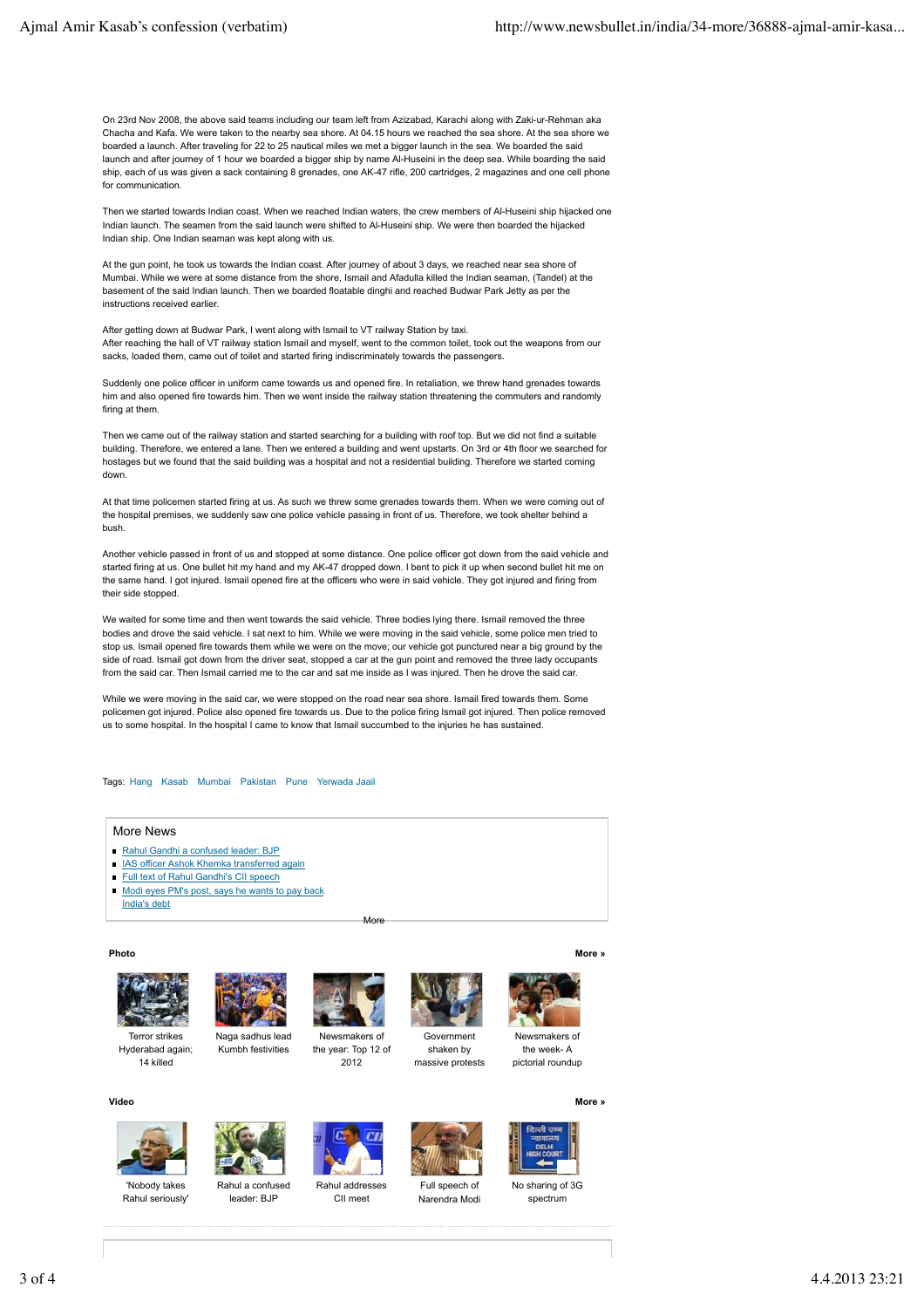On 23rd Nov 2008, the above said teams including our team left from Azizabad, Karachi along with Zaki-ur-Rehman aka Chacha and Kafa. We were taken to the nearby sea shore. At 04.15 hours we reached the sea shore. At the sea shore we boarded a launch. After traveling for 22 to 25 nautical miles we met a bigger launch in the sea. We boarded the said launch and after journey of 1 hour we boarded a bigger ship by name Al-Huseini in the deep sea. While boarding the said ship, each of us was given a sack containing 8 grenades, one AK-47 rifle, 200 cartridges, 2 magazines and one cell phone for communication.

Then we started towards Indian coast. When we reached Indian waters, the crew members of Al-Huseini ship hijacked one Indian launch. The seamen from the said launch were shifted to Al-Huseini ship. We were then boarded the hijacked Indian ship. One Indian seaman was kept along with us.

At the gun point, he took us towards the Indian coast. After journey of about 3 days, we reached near sea shore of Mumbai. While we were at some distance from the shore, Ismail and Afadulla killed the Indian seaman, (Tandel) at the basement of the said Indian launch. Then we boarded floatable dinghi and reached Budwar Park Jetty as per the instructions received earlier.

After getting down at Budwar Park, I went along with Ismail to VT railway Station by taxi. After reaching the hall of VT railway station Ismail and myself, went to the common toilet, took out the weapons from our sacks, loaded them, came out of toilet and started firing indiscriminately towards the passengers

Suddenly one police officer in uniform came towards us and opened fire. In retaliation, we threw hand grenades towards him and also opened fire towards him. Then we went inside the railway station threatening the commuters and randomly firing at them.

Then we came out of the railway station and started searching for a building with roof top. But we did not find a suitable building. Therefore, we entered a lane. Then we entered a building and went upstarts. On 3rd or 4th floor we searched for hostages but we found that the said building was a hospital and not a residential building. Therefore we started coming down.

At that time policemen started firing at us. As such we threw some grenades towards them. When we were coming out of the hospital premises, we suddenly saw one police vehicle passing in front of us. Therefore, we took shelter behind a bush.

Another vehicle passed in front of us and stopped at some distance. One police officer got down from the said vehicle and started firing at us. One bullet hit my hand and my AK-47 dropped down. I bent to pick it up when second bullet hit me on the same hand. I got injured. Ismail opened fire at the officers who were in said vehicle. They got injured and firing from their side stopped.

We waited for some time and then went towards the said vehicle. Three bodies lying there. Ismail removed the three bodies and drove the said vehicle. I sat next to him. While we were moving in the said vehicle, some police men tried to stop us. Ismail opened fire towards them while we were on the move; our vehicle got punctured near a big ground by the side of road. Ismail got down from the driver seat, stopped a car at the gun point and removed the three lady occupants from the said car. Then Ismail carried me to the car and sat me inside as I was injured. Then he drove the said car.

While we were moving in the said car, we were stopped on the road near sea shore. Ismail fired towards them. Some policemen got injured. Police also opened fire towards us. Due to the police firing Ismail got injured. Then police removed us to some hospital. In the hospital I came to know that Ismail succumbed to the injuries he has sustained.

Tags: Hang Kasab Mumbai Pakistan Pune Yerwada Jaail

## More News

- Rahul Gandhi a confused leader: BJP
- **IAS officer Ashok Khemka transferred again**
- Full text of Rahul Gandhi's CII speech
- Modi eyes PM's post, says he wants to pay back India's debt

## **Photo**

**Video**



Hyderabad again; 14 killed



Naga sadhus lead Kumbh festivities



More

Newsmakers of the year: Top 12 of 2012

CII meet



Government shaken by massive protests



Newsmakers of the week- A pictorial roundup

**More »**

**More »**



'Nobody takes Rahul seriously'



Rahul a confused leader: BJP



Full speech of Narendra Modi



No sharing of 3G spectrum